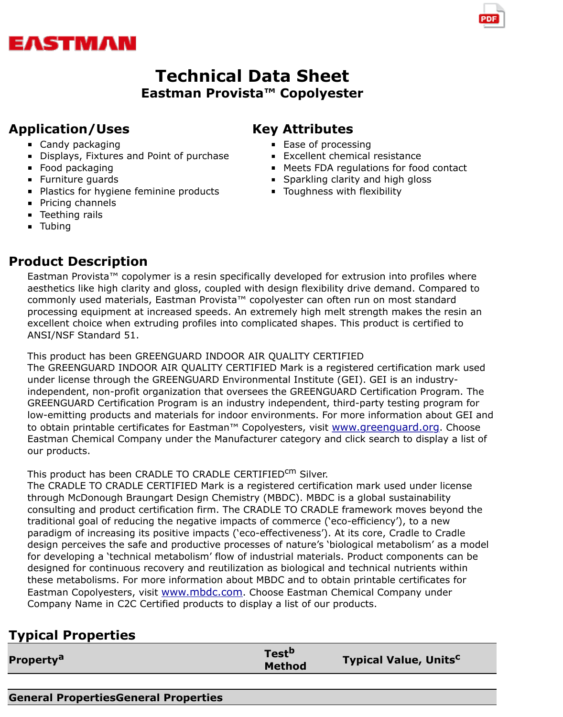#### **Eastman Provista™ Copolyester**

### **Application/Uses**

- Candy packaging
- Displays, Fixtures and Point of purchase
- **Food packaging**
- **Furniture quards**
- **Plastics for hygiene feminine products**
- **Pricing channels**
- **Teething rails**
- **Tubing**

# **Product Description**

# **Key Attributes**

- Ease of processing
- **Excellent chemical resistance**
- Meets FDA regulations for food contact
- **Sparkling clarity and high gloss**
- **Toughness with flexibility**

Eastman Provista™ copolymer is a resin specifically developed for extrusion into profiles where aesthetics like high clarity and gloss, coupled with design flexibility drive demand. Compared to commonly used materials, Eastman Provista™ copolyester can often run on most standard processing equipment at increased speeds. An extremely high melt strength makes the resin an excellent choice when extruding profiles into complicated shapes. This product is certified to ANSI/NSF Standard 51.

This product has been GREENGUARD INDOOR AIR QUALITY CERTIFIED The GREENGUARD INDOOR AIR QUALITY CERTIFIED Mark is a registered certification mark use under license through the GREENGUARD Environmental Institute (GEI). GEI is an industryindependent, non-profit organization that oversees the GREENGUARD Certification Program. Th GREENGUARD Certification Program is an industry independent, third-party testing program for low-emitting products and materials for indoor environments. For more information about GEI and to obtain printable certificates for Eastman™ Copolyesters, visit www.greenguard.org. Choose Eastman Chemical Company under the Manufacturer category and click search to display a list our products.

This product has been CRADLE TO CRADLE CERTIFIEDCM Silver.

The CRADLE TO CRADLE CERTIFIED Mark is a registered certification mark used under license through McDonough Braungart Design Chemistry (MBDC). MBDC is a global sustainability consulting and product certification firm. The CRADLE TO CRADLE framework moves beyond the traditional goal of reducing the negative impacts of commerce ('[eco-efficiency'\), to a ne](http://www.greenguard.org/)w paradigm of increasing its positive impacts ('eco-effectiveness'). At its core, Cradle to Cradle design perceives the safe and productive processes of nature's 'biological metabolism' as a modelly for developing a 'technical metabolism' flow of industrial materials. Product components can be designed for continuous recovery and reutilization as biological and technical nutrients within these metabolisms. For more information about MBDC and to obtain printable certificates for Eastman Copolyesters, visit www.mbdc.com. Choose Eastman Chemical Company under Company Name in C2C Certified products to display a list of our products.

## **Typical Properties**

| <b>Property<sup>a</sup></b> | Test <sup>p</sup><br><b>Typical Value, Units<sup>c</sup></b><br><b>Method</b> |  |
|-----------------------------|-------------------------------------------------------------------------------|--|

**General PropertiesGeneral [Properties](http://www.mbdc.com/)**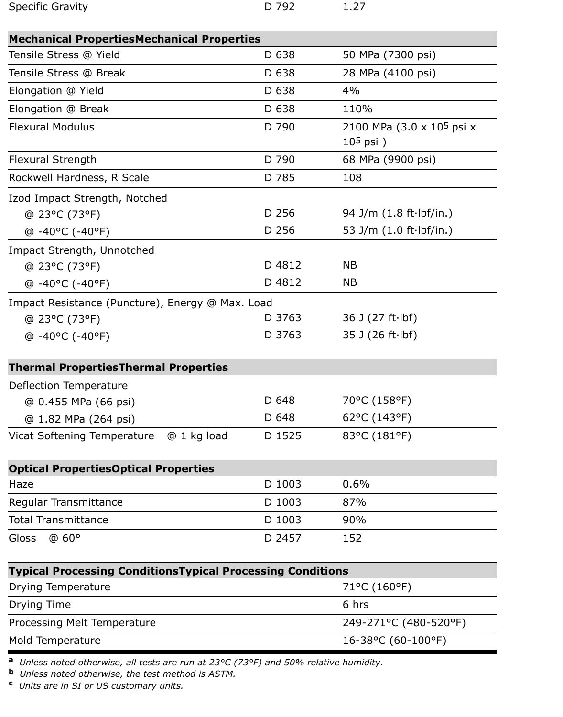| <b>Specific Gravity</b> | D 792 | 1.27 |
|-------------------------|-------|------|
|                         |       |      |

| <b>Mechanical PropertiesMechanical Properties</b>                 |                         |                            |
|-------------------------------------------------------------------|-------------------------|----------------------------|
| Tensile Stress @ Yield                                            | D 638                   | 50 MPa (7300 psi)          |
| Tensile Stress @ Break                                            | D 638                   | 28 MPa (4100 psi)          |
| Elongation @ Yield                                                | D 638                   | 4%                         |
| Elongation @ Break                                                | D 638                   | 110%                       |
| <b>Flexural Modulus</b>                                           | D 790                   | 2100 MPa (3.0 x 105 psi x  |
|                                                                   |                         | $105$ psi)                 |
| <b>Flexural Strength</b>                                          | D 790                   | 68 MPa (9900 psi)          |
| Rockwell Hardness, R Scale                                        | D 785                   | 108                        |
| Izod Impact Strength, Notched                                     |                         |                            |
| @ 23°C (73°F)                                                     | D 256                   | 94 J/m $(1.8 ft·lbf/in.)$  |
| $@ -40°C (-40°F)$                                                 | D 256                   | 53 J/m (1.0 ft·lbf/in.)    |
| Impact Strength, Unnotched                                        |                         |                            |
| @ 23°C (73°F)                                                     | D 4812                  | <b>NB</b>                  |
| $@ -40°C (-40°F)$                                                 | D 4812                  | <b>NB</b>                  |
| Impact Resistance (Puncture), Energy @ Max. Load                  |                         |                            |
| @ 23°C (73°F)                                                     | D 3763                  | 36 J $(27 ft·lbf)$         |
| @-40°C (-40°F)                                                    | D 3763                  | $35$ J (26 ft $\cdot$ lbf) |
| <b>Thermal PropertiesThermal Properties</b>                       |                         |                            |
| Deflection Temperature                                            |                         |                            |
| @ 0.455 MPa (66 psi)                                              | D 648                   | 70°C (158°F)               |
| @ 1.82 MPa (264 psi)                                              | D 648                   | 62°C (143°F)               |
| @ 1 kg load<br><b>Vicat Softening Temperature</b>                 | D 1525                  | 83°C (181°F)               |
| <b>Optical PropertiesOptical Properties</b>                       |                         |                            |
| Haze                                                              | D 1003                  | 0.6%                       |
| Regular Transmittance                                             | D 1003                  | 87%                        |
| <b>Total Transmittance</b>                                        | D 1003                  | 90%                        |
| <b>Gloss</b><br>@60°                                              | D 2457                  | 152                        |
| <b>Typical Processing ConditionsTypical Processing Conditions</b> |                         |                            |
| <b>Drying Temperature</b>                                         | 71°C (160°F)            |                            |
| Drying Time                                                       | 6 hrs                   |                            |
| Processing Melt Temperature                                       | 249-271°C (480-520°F)   |                            |
| Mold Temperature                                                  | $16 - 38$ °C (60-100°F) |                            |

**<sup>a</sup>** *Unless noted otherwise, all tests are run at 23°C (73°F) and 50% relative humidity.*

**<sup>b</sup>** *Unless noted otherwise, the test method is ASTM.*

**<sup>c</sup>** *Units are in SI or US customary units.*